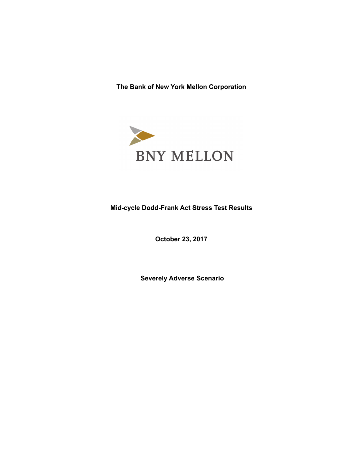**The Bank of New York Mellon Corporation** 



# **Mid-cycle Dodd-Frank Act Stress Test Results**

**October 23, 2017**

 **Severely Adverse Scenario**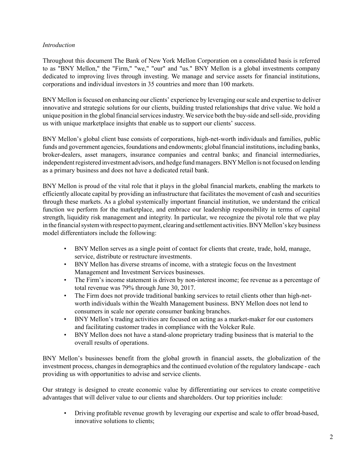# *Introduction*

Throughout this document The Bank of New York Mellon Corporation on a consolidated basis is referred to as "BNY Mellon," the "Firm," "we," "our" and "us." BNY Mellon is a global investments company dedicated to improving lives through investing. We manage and service assets for financial institutions, corporations and individual investors in 35 countries and more than 100 markets.

BNY Mellon is focused on enhancing our clients' experience by leveraging our scale and expertise to deliver innovative and strategic solutions for our clients, building trusted relationships that drive value. We hold a unique position in the global financial services industry. We service both the buy-side and sell-side, providing us with unique marketplace insights that enable us to support our clients' success.

BNY Mellon's global client base consists of corporations, high-net-worth individuals and families, public funds and government agencies, foundations and endowments; global financial institutions, including banks, broker-dealers, asset managers, insurance companies and central banks; and financial intermediaries, independent registered investment advisors, and hedge fund managers. BNY Mellon is not focused on lending as a primary business and does not have a dedicated retail bank.

BNY Mellon is proud of the vital role that it plays in the global financial markets, enabling the markets to efficiently allocate capital by providing an infrastructure that facilitates the movement of cash and securities through these markets. As a global systemically important financial institution, we understand the critical function we perform for the marketplace, and embrace our leadership responsibility in terms of capital strength, liquidity risk management and integrity. In particular, we recognize the pivotal role that we play in the financial system with respect to payment, clearing and settlement activities. BNY Mellon's key business model differentiators include the following:

- BNY Mellon serves as a single point of contact for clients that create, trade, hold, manage, service, distribute or restructure investments.
- BNY Mellon has diverse streams of income, with a strategic focus on the Investment Management and Investment Services businesses.
- The Firm's income statement is driven by non-interest income; fee revenue as a percentage of total revenue was 79% through June 30, 2017.
- The Firm does not provide traditional banking services to retail clients other than high-networth individuals within the Wealth Management business. BNY Mellon does not lend to consumers in scale nor operate consumer banking branches.
- BNY Mellon's trading activities are focused on acting as a market-maker for our customers and facilitating customer trades in compliance with the Volcker Rule.
- BNY Mellon does not have a stand-alone proprietary trading business that is material to the overall results of operations.

BNY Mellon's businesses benefit from the global growth in financial assets, the globalization of the investment process, changes in demographics and the continued evolution of the regulatory landscape - each providing us with opportunities to advise and service clients.

Our strategy is designed to create economic value by differentiating our services to create competitive advantages that will deliver value to our clients and shareholders. Our top priorities include:

• Driving profitable revenue growth by leveraging our expertise and scale to offer broad-based, innovative solutions to clients;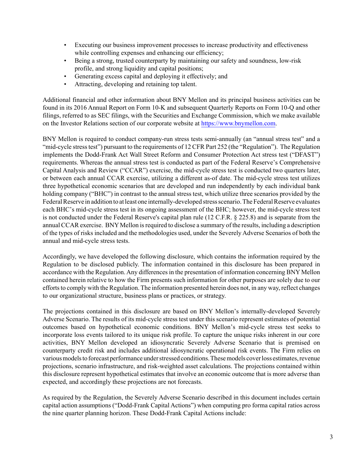- Executing our business improvement processes to increase productivity and effectiveness while controlling expenses and enhancing our efficiency:
- Being a strong, trusted counterparty by maintaining our safety and soundness, low-risk profile, and strong liquidity and capital positions;
- Generating excess capital and deploying it effectively; and
- Attracting, developing and retaining top talent.

Additional financial and other information about BNY Mellon and its principal business activities can be found in its 2016 Annual Report on Form 10-K and subsequent Quarterly Reports on Form 10-Q and other filings, referred to as SEC filings, with the Securities and Exchange Commission, which we make available on the Investor Relations section of our corporate website at [https://www.bnymellon.com.](https://www.bnymellon.com)

BNY Mellon is required to conduct company-run stress tests semi-annually (an "annual stress test" and a "mid-cycle stress test") pursuant to the requirements of 12 CFR Part 252 (the "Regulation"). The Regulation implements the Dodd-Frank Act Wall Street Reform and Consumer Protection Act stress test ("DFAST") requirements. Whereas the annual stress test is conducted as part of the Federal Reserve's Comprehensive Capital Analysis and Review ("CCAR") exercise, the mid-cycle stress test is conducted two quarters later, or between each annual CCAR exercise, utilizing a different as-of date. The mid-cycle stress test utilizes three hypothetical economic scenarios that are developed and run independently by each individual bank holding company ("BHC") in contrast to the annual stress test, which utilize three scenarios provided by the Federal Reserve in addition to at least one internally-developed stress scenario. The Federal Reserve evaluates each BHC's mid-cycle stress test in its ongoing assessment of the BHC; however, the mid-cycle stress test is not conducted under the Federal Reserve's capital plan rule (12 C.F.R. § 225.8) and is separate from the annual CCAR exercise. BNY Mellon is required to disclose a summary of the results, including a description of the types of risks included and the methodologies used, under the Severely Adverse Scenarios of both the annual and mid-cycle stress tests.

Accordingly, we have developed the following disclosure, which contains the information required by the Regulation to be disclosed publicly. The information contained in this disclosure has been prepared in accordance with the Regulation. Any differences in the presentation of information concerning BNY Mellon contained herein relative to how the Firm presents such information for other purposes are solely due to our efforts to comply with the Regulation. The information presented herein does not, in any way, reflect changes to our organizational structure, business plans or practices, or strategy.

The projections contained in this disclosure are based on BNY Mellon's internally-developed Severely Adverse Scenario. The results of its mid-cycle stress test under this scenario represent estimates of potential outcomes based on hypothetical economic conditions. BNY Mellon's mid-cycle stress test seeks to incorporate loss events tailored to its unique risk profile. To capture the unique risks inherent in our core activities, BNY Mellon developed an idiosyncratic Severely Adverse Scenario that is premised on counterparty credit risk and includes additional idiosyncratic operational risk events. The Firm relies on various models to forecast performance under stressed conditions. These models cover loss estimates, revenue projections, scenario infrastructure, and risk-weighted asset calculations. The projections contained within this disclosure represent hypothetical estimates that involve an economic outcome that is more adverse than expected, and accordingly these projections are not forecasts.

As required by the Regulation, the Severely Adverse Scenario described in this document includes certain capital action assumptions ("Dodd-Frank Capital Actions") when computing pro forma capital ratios across the nine quarter planning horizon. These Dodd-Frank Capital Actions include: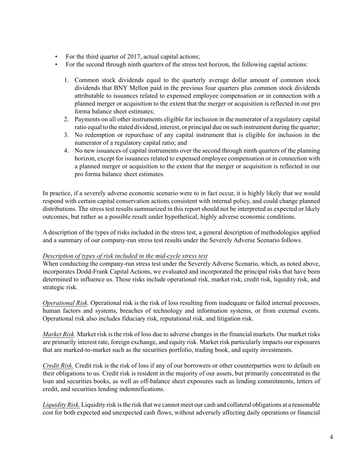- For the third quarter of 2017, actual capital actions;
- For the second through ninth quarters of the stress test horizon, the following capital actions:
	- 1. Common stock dividends equal to the quarterly average dollar amount of common stock dividends that BNY Mellon paid in the previous four quarters plus common stock dividends attributable to issuances related to expensed employee compensation or in connection with a planned merger or acquisition to the extent that the merger or acquisition is reflected in our pro forma balance sheet estimates;
	- 2. Payments on all other instruments eligible for inclusion in the numerator of a regulatory capital ratio equal to the stated dividend, interest, or principal due on such instrument during the quarter;
	- 3. No redemption or repurchase of any capital instrument that is eligible for inclusion in the numerator of a regulatory capital ratio; and
	- 4. No new issuances of capital instruments over the second through ninth quarters of the planning horizon, except for issuances related to expensed employee compensation or in connection with a planned merger or acquisition to the extent that the merger or acquisition is reflected in our pro forma balance sheet estimates.

In practice, if a severely adverse economic scenario were to in fact occur, it is highly likely that we would respond with certain capital conservation actions consistent with internal policy, and could change planned distributions. The stress test results summarized in this report should not be interpreted as expected or likely outcomes, but rather as a possible result under hypothetical, highly adverse economic conditions.

A description of the types of risks included in the stress test, a general description of methodologies applied and a summary of our company-run stress test results under the Severely Adverse Scenario follows.

# *Description of types of risk included in the mid-cycle stress test*

When conducting the company-run stress test under the Severely Adverse Scenario, which, as noted above, incorporates Dodd-Frank Capital Actions, we evaluated and incorporated the principal risks that have been determined to influence us. These risks include operational risk, market risk, credit risk, liquidity risk, and strategic risk.

*Operational Risk.* Operational risk is the risk of loss resulting from inadequate or failed internal processes, human factors and systems, breaches of technology and information systems, or from external events. Operational risk also includes fiduciary risk, reputational risk, and litigation risk.

*Market Risk.* Market risk is the risk of loss due to adverse changes in the financial markets. Our market risks are primarily interest rate, foreign exchange, and equity risk. Market risk particularly impacts our exposures that are marked-to-market such as the securities portfolio, trading book, and equity investments.

*Credit Risk.* Credit risk is the risk of loss if any of our borrowers or other counterparties were to default on their obligations to us. Credit risk is resident in the majority of our assets, but primarily concentrated in the loan and securities books, as well as off-balance sheet exposures such as lending commitments, letters of credit, and securities lending indemnifications.

*Liquidity Risk.* Liquidity risk is the risk that we cannot meet our cash and collateral obligations at a reasonable cost for both expected and unexpected cash flows, without adversely affecting daily operations or financial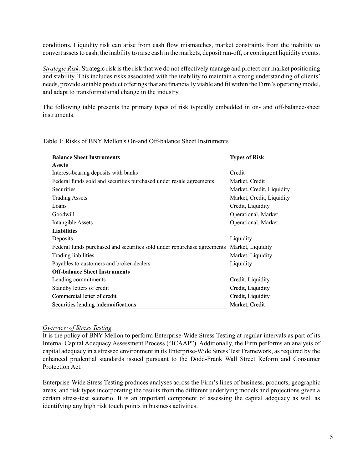conditions. Liquidity risk can arise from cash flow mismatches, market constraints from the inability to convert assets to cash, the inability to raise cash in the markets, deposit run-off, or contingent liquidity events.

*Strategic Risk.* Strategic risk is the risk that we do not effectively manage and protect our market positioning and stability. This includes risks associated with the inability to maintain a strong understanding of clients' needs, provide suitable product offerings that are financially viable and fit within the Firm's operating model, and adapt to transformational change in the industry.

The following table presents the primary types of risk typically embedded in on- and off-balance-sheet **instruments** 

Table 1: Risks of BNY Mellon's On-and Off-balance Sheet Instruments

| <b>Balance Sheet Instruments</b>                                        | <b>Types of Risk</b>      |
|-------------------------------------------------------------------------|---------------------------|
| <b>Assets</b>                                                           |                           |
| Interest-bearing deposits with banks                                    | Credit                    |
| Federal funds sold and securities purchased under resale agreements     | Market, Credit            |
| Securities                                                              | Market, Credit, Liquidity |
| <b>Trading Assets</b>                                                   | Market, Credit, Liquidity |
| Loans                                                                   | Credit, Liquidity         |
| Goodwill                                                                | Operational, Market       |
| Intangible Assets                                                       | Operational, Market       |
| <b>Liabilities</b>                                                      |                           |
| Deposits                                                                | Liquidity                 |
| Federal funds purchased and securities sold under repurchase agreements | Market, Liquidity         |
| Trading liabilities                                                     | Market, Liquidity         |
| Payables to customers and broker-dealers                                | Liquidity                 |
| <b>Off-balance Sheet Instruments</b>                                    |                           |
| Lending commitments                                                     | Credit, Liquidity         |
| Standby letters of credit                                               | Credit, Liquidity         |
| Commercial letter of credit                                             | Credit, Liquidity         |
| Securities lending indemnifications                                     | Market, Credit            |

#### *Overview of Stress Testing*

It is the policy of BNY Mellon to perform Enterprise-Wide Stress Testing at regular intervals as part of its Internal Capital Adequacy Assessment Process ("ICAAP"). Additionally, the Firm performs an analysis of capital adequacy in a stressed environment in its Enterprise-Wide Stress Test Framework, as required by the enhanced prudential standards issued pursuant to the Dodd-Frank Wall Street Reform and Consumer Protection Act.

Enterprise-Wide Stress Testing produces analyses across the Firm's lines of business, products, geographic areas, and risk types incorporating the results from the different underlying models and projections given a certain stress-test scenario. It is an important component of assessing the capital adequacy as well as identifying any high risk touch points in business activities.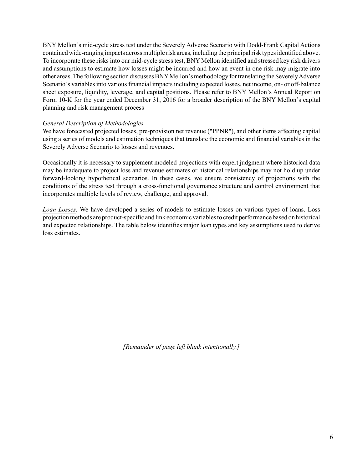BNY Mellon's mid-cycle stress test under the Severely Adverse Scenario with Dodd-Frank Capital Actions contained wide-ranging impacts across multiple risk areas, including the principal risk types identified above. To incorporate these risks into our mid-cycle stress test, BNY Mellon identified and stressed key risk drivers and assumptions to estimate how losses might be incurred and how an event in one risk may migrate into other areas. The following section discusses BNYMellon's methodology for translating the Severely Adverse Scenario's variables into various financial impacts including expected losses, net income, on- or off-balance sheet exposure, liquidity, leverage, and capital positions. Please refer to BNY Mellon's Annual Report on Form 10-K for the year ended December 31, 2016 for a broader description of the BNY Mellon's capital planning and risk management process

### *General Description of Methodologies*

We have forecasted projected losses, pre-provision net revenue ("PPNR"), and other items affecting capital using a series of models and estimation techniques that translate the economic and financial variables in the Severely Adverse Scenario to losses and revenues.

Occasionally it is necessary to supplement modeled projections with expert judgment where historical data may be inadequate to project loss and revenue estimates or historical relationships may not hold up under forward-looking hypothetical scenarios. In these cases, we ensure consistency of projections with the conditions of the stress test through a cross-functional governance structure and control environment that incorporates multiple levels of review, challenge, and approval.

*Loan Losses*. We have developed a series of models to estimate losses on various types of loans. Loss projection methods are product-specific and link economic variables to credit performance based on historical and expected relationships. The table below identifies major loan types and key assumptions used to derive loss estimates.

*[Remainder of page left blank intentionally.]*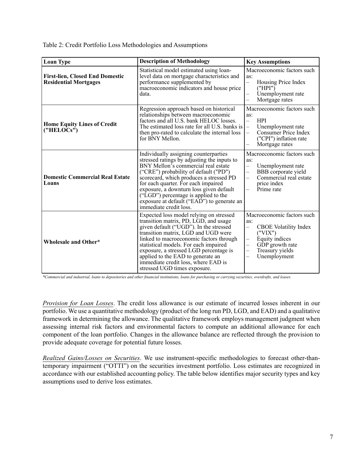Table 2: Credit Portfolio Loss Methodologies and Assumptions

| <b>Loan Type</b>                                                       | <b>Description of Methodology</b>                                                                                                                                                                                                                                                                                                                                                                                 | <b>Key Assumptions</b>                                                                                                                                                                                                                                             |
|------------------------------------------------------------------------|-------------------------------------------------------------------------------------------------------------------------------------------------------------------------------------------------------------------------------------------------------------------------------------------------------------------------------------------------------------------------------------------------------------------|--------------------------------------------------------------------------------------------------------------------------------------------------------------------------------------------------------------------------------------------------------------------|
| <b>First-lien, Closed End Domestic</b><br><b>Residential Mortgages</b> | Statistical model estimated using loan-<br>level data on mortgage characteristics and<br>performance supplemented by<br>macroeconomic indicators and house price<br>data.                                                                                                                                                                                                                                         | Macroeconomic factors such<br>as:<br>Housing Price Index<br>$\equiv$<br>("HPI")<br>Unemployment rate<br>Mortgage rates                                                                                                                                             |
| <b>Home Equity Lines of Credit</b><br>("HELOCs")                       | Regression approach based on historical<br>relationships between macroeconomic<br>factors and all U.S. bank HELOC losses.<br>The estimated loss rate for all U.S. banks is<br>then pro-rated to calculate the internal loss<br>for BNY Mellon.                                                                                                                                                                    | Macroeconomic factors such<br>as:<br><b>HPI</b><br>$\equiv$<br>Unemployment rate<br>$\equiv$<br>Consumer Price Index<br>$\overline{\phantom{0}}$<br>("CPI") inflation rate<br>Mortgage rates                                                                       |
| <b>Domestic Commercial Real Estate</b><br>Loans                        | Individually assigning counterparties<br>stressed ratings by adjusting the inputs to<br>BNY Mellon's commercial real estate<br>("CRE") probability of default ("PD")<br>scorecard, which produces a stressed PD<br>for each quarter. For each impaired<br>exposure, a downturn loss given default<br>("LGD") percentage is applied to the<br>exposure at default ("EAD") to generate an<br>immediate credit loss. | Macroeconomic factors such<br>as:<br>Unemployment rate<br>$\overline{\phantom{0}}$<br>BBB corporate yield<br>$\overline{\phantom{0}}$<br>Commercial real estate<br>$\overline{\phantom{0}}$<br>price index<br>Prime rate                                           |
| Wholesale and Other*                                                   | Expected loss model relying on stressed<br>transition matrix, PD, LGD, and usage<br>given default ("UGD"). In the stressed<br>transition matrix, LGD and UGD were<br>linked to macroeconomic factors through<br>statistical models. For each impaired<br>exposure, a stressed LGD percentage is<br>applied to the EAD to generate an<br>immediate credit loss, where EAD is<br>stressed UGD times exposure.       | Macroeconomic factors such<br>as:<br><b>CBOE</b> Volatility Index<br>$\overline{\phantom{0}}$<br>("VIX")<br>Equity indices<br>$\qquad \qquad -$<br>GDP growth rate<br>$\overline{\phantom{0}}$<br>Treasury yields<br>—<br>Unemployment<br>$\overline{\phantom{0}}$ |

*\*Commercial and industrial, loans to depositories and other financial institutions, loans for purchasing or carrying securities, overdrafts, and leases.* 

*Provision for Loan Losses*. The credit loss allowance is our estimate of incurred losses inherent in our portfolio. We use a quantitative methodology (product of the long run PD, LGD, and EAD) and a qualitative framework in determining the allowance. The qualitative framework employs management judgment when assessing internal risk factors and environmental factors to compute an additional allowance for each component of the loan portfolio. Changes in the allowance balance are reflected through the provision to provide adequate coverage for potential future losses.

*Realized Gains/Losses on Securities*. We use instrument-specific methodologies to forecast other-thantemporary impairment ("OTTI") on the securities investment portfolio. Loss estimates are recognized in accordance with our established accounting policy. The table below identifies major security types and key assumptions used to derive loss estimates.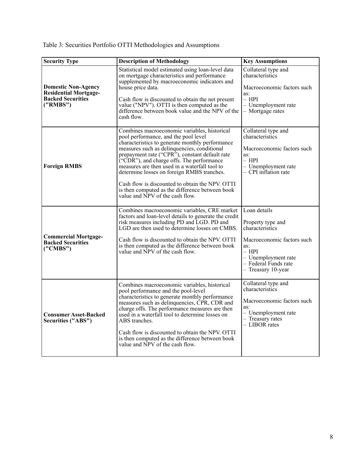|  |  |  |  | Table 3: Securities Portfolio OTTI Methodologies and Assumptions |
|--|--|--|--|------------------------------------------------------------------|
|  |  |  |  |                                                                  |

| <b>Security Type</b>                                                                               | <b>Description of Methodology</b>                                                                                                                                                                                                                                                                                                                                                                                                                                                                                             | <b>Key Assumptions</b>                                                                                                                                                    |
|----------------------------------------------------------------------------------------------------|-------------------------------------------------------------------------------------------------------------------------------------------------------------------------------------------------------------------------------------------------------------------------------------------------------------------------------------------------------------------------------------------------------------------------------------------------------------------------------------------------------------------------------|---------------------------------------------------------------------------------------------------------------------------------------------------------------------------|
| <b>Domestic Non-Agency</b><br><b>Residential Mortgage-</b><br><b>Backed Securities</b><br>('RMBS") | Statistical model estimated using loan-level data<br>on mortgage characteristics and performance<br>supplemented by macroeconomic indicators and<br>house price data.<br>Cash flow is discounted to obtain the net present<br>value ("NPV"). OTTI is then computed as the<br>difference between book value and the NPV of the<br>cash flow.                                                                                                                                                                                   | Collateral type and<br>characteristics<br>Macroeconomic factors such<br>as:<br>$-$ HPI<br>- Unemployment rate<br>- Mortgage rates                                         |
| <b>Foreign RMBS</b>                                                                                | Combines macroeconomic variables, historical<br>pool performance, and the pool level<br>characteristics to generate monthly performance<br>measures such as delinquencies, conditional<br>prepayment rate ("CPR"), constant default rate<br>("CDR"), and charge offs. The performance<br>measures are then used in a waterfall tool to<br>determine losses on foreign RMBS tranches.<br>Cash flow is discounted to obtain the NPV. OTTI<br>is then computed as the difference between book<br>value and NPV of the cash flow. | Collateral type and<br>characteristics<br>Macroeconomic factors such<br>as:<br>– HPI<br>- Unemployment rate<br>- CPI inflation rate                                       |
| <b>Commercial Mortgage-</b><br><b>Backed Securities</b><br>("CMBS")                                | Combines macroeconomic variables, CRE market<br>factors and loan-level details to generate the credit<br>risk measures including PD and LGD. PD and<br>LGD are then used to determine losses on CMBS.<br>Cash flow is discounted to obtain the NPV. OTTI<br>is then computed as the difference between book<br>value and NPV of the cash flow.                                                                                                                                                                                | Loan details<br>Property type and<br>characteristics<br>Macroeconomic factors such<br>as:<br>– HPI<br>$-$ Unemployment rate<br>- Federal Funds rate<br>- Treasury 10-year |
| <b>Consumer Asset-Backed</b><br>Securities ("ABS")                                                 | Combines macroeconomic variables, historical<br>pool performance and the pool-level<br>characteristics to generate monthly performance<br>measures such as delinquencies, CPR, CDR and<br>charge offs. The performance measures are then<br>used in a waterfall tool to determine losses on<br>ABS tranches.<br>Cash flow is discounted to obtain the NPV. OTTI<br>is then computed as the difference between book<br>value and NPV of the cash flow.                                                                         | Collateral type and<br>characteristics<br>Macroeconomic factors such<br>as:<br>- Unemployment rate<br>- Treasury rates<br>- LIBOR rates                                   |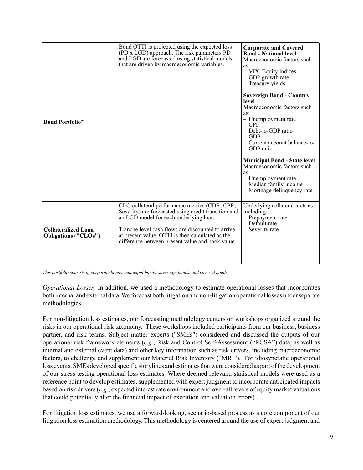| <b>Bond Portfolio*</b>                                    | Bond OTTI is projected using the expected loss<br>(PD x LGD) approach. The risk parameters PD<br>and LGD are forecasted using statistical models<br>that are driven by macroeconomic variables.                                                                                                              | <b>Corporate and Covered</b><br><b>Bond - National level</b><br>Macroeconomic factors such<br>as:<br>- VIX, Equity indices<br>- GDP growth rate<br>- Treasury yields<br><b>Sovereign Bond - Country</b><br>level<br>Macroeconomic factors such<br>as:<br>- Unemployment rate<br>$-$ CPI<br>- Debt-to-GDP ratio<br>$-$ GDP<br>- Current account balance-to-<br>GDP ratio<br><b>Municipal Bond - State level</b><br>Macroeconomic factors such<br>as:<br>- Unemployment rate<br>- Median family income<br>- Mortgage delinquency rate |
|-----------------------------------------------------------|--------------------------------------------------------------------------------------------------------------------------------------------------------------------------------------------------------------------------------------------------------------------------------------------------------------|-------------------------------------------------------------------------------------------------------------------------------------------------------------------------------------------------------------------------------------------------------------------------------------------------------------------------------------------------------------------------------------------------------------------------------------------------------------------------------------------------------------------------------------|
| <b>Collateralized Loan</b><br><b>Obligations ("CLOs")</b> | CLO collateral performance metrics (CDR, CPR,<br>Severity) are forecasted using credit transition and<br>an LGD model for each underlying loan.<br>Tranche level cash flows are discounted to arrive<br>at present value. OTTI is then calculated as the<br>difference between present value and book value. | Underlying collateral metrics<br>including:<br>- Prepayment rate<br>- Default rate<br>Severity rate                                                                                                                                                                                                                                                                                                                                                                                                                                 |

*This portfolio consists of corporate bonds, municipal bonds, sovereign bonds, and covered bonds.*

*Operational Losses*. In addition, we used a methodology to estimate operational losses that incorporates both internal and external data. We forecast both litigation and non-litigation operational losses under separate methodologies.

For non-litigation loss estimates, our forecasting methodology centers on workshops organized around the risks in our operational risk taxonomy. These workshops included participants from our business, business partner, and risk teams. Subject matter experts ("SMEs") considered and discussed the outputs of our operational risk framework elements (*e.g.*, Risk and Control Self-Assessment ("RCSA") data, as well as internal and external event data) and other key information such as risk drivers, including macroeconomic factors, to challenge and supplement our Material Risk Inventory ("MRI"). For idiosyncratic operational loss events, SMEs developed specific storylines and estimates that were considered as part of the development of our stress testing operational loss estimates. Where deemed relevant, statistical models were used as a reference point to develop estimates, supplemented with expert judgment to incorporate anticipated impacts based on risk drivers (*e.g.*, expected interest rate environment and over-all levels of equity market valuations that could potentially alter the financial impact of execution and valuation errors).

For litigation loss estimates, we use a forward-looking, scenario-based process as a core component of our litigation loss estimation methodology. This methodology is centered around the use of expert judgment and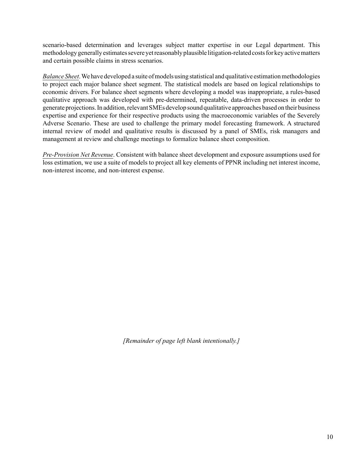scenario-based determination and leverages subject matter expertise in our Legal department. This methodology generally estimates severe yet reasonably plausible litigation-related costs for key active matters and certain possible claims in stress scenarios.

*Balance Sheet*. We have developed a suite of models using statistical and qualitative estimation methodologies to project each major balance sheet segment. The statistical models are based on logical relationships to economic drivers. For balance sheet segments where developing a model was inappropriate, a rules-based qualitative approach was developed with pre-determined, repeatable, data-driven processes in order to generate projections. In addition, relevant SMEs develop sound qualitative approaches based on their business expertise and experience for their respective products using the macroeconomic variables of the Severely Adverse Scenario. These are used to challenge the primary model forecasting framework. A structured internal review of model and qualitative results is discussed by a panel of SMEs, risk managers and management at review and challenge meetings to formalize balance sheet composition.

*Pre-Provision Net Revenue*. Consistent with balance sheet development and exposure assumptions used for loss estimation, we use a suite of models to project all key elements of PPNR including net interest income, non-interest income, and non-interest expense.

*[Remainder of page left blank intentionally.]*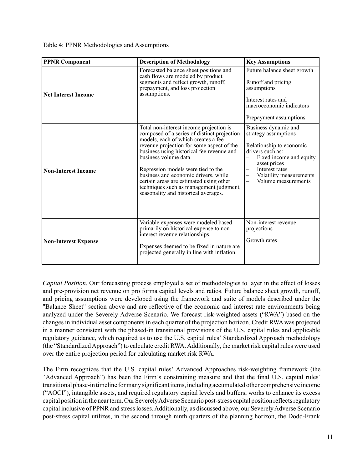Table 4: PPNR Methodologies and Assumptions

| <b>PPNR Component</b>       | <b>Description of Methodology</b>                                                                                                                                                                                                                                                                                                                                                                                                                            | <b>Key Assumptions</b>                                                                                                                                                                                                                                              |
|-----------------------------|--------------------------------------------------------------------------------------------------------------------------------------------------------------------------------------------------------------------------------------------------------------------------------------------------------------------------------------------------------------------------------------------------------------------------------------------------------------|---------------------------------------------------------------------------------------------------------------------------------------------------------------------------------------------------------------------------------------------------------------------|
| <b>Net Interest Income</b>  | Forecasted balance sheet positions and<br>cash flows are modeled by product<br>segments and reflect growth, runoff,<br>prepayment, and loss projection<br>assumptions.                                                                                                                                                                                                                                                                                       | Future balance sheet growth<br>Runoff and pricing<br>assumptions<br>Interest rates and<br>macroeconomic indicators<br>Prepayment assumptions                                                                                                                        |
| <b>Non-Interest Income</b>  | Total non-interest income projection is<br>composed of a series of distinct projection<br>models, each of which creates a fee<br>revenue projection for some aspect of the<br>business using historical fee revenue and<br>business volume data.<br>Regression models were tied to the<br>business and economic drivers, while<br>certain areas are estimated using other<br>techniques such as management judgment,<br>seasonality and historical averages. | Business dynamic and<br>strategy assumptions<br>Relationship to economic<br>drivers such as:<br>Fixed income and equity<br>$\overline{\phantom{0}}$<br>asset prices<br>Interest rates<br>Volatility measurements<br>$\overline{\phantom{0}}$<br>Volume measurements |
| <b>Non-Interest Expense</b> | Variable expenses were modeled based<br>primarily on historical expense to non-<br>interest revenue relationships.<br>Expenses deemed to be fixed in nature are<br>projected generally in line with inflation.                                                                                                                                                                                                                                               | Non-interest revenue<br>projections<br>Growth rates                                                                                                                                                                                                                 |

*Capital Position*. Our forecasting process employed a set of methodologies to layer in the effect of losses and pre-provision net revenue on pro forma capital levels and ratios. Future balance sheet growth, runoff, and pricing assumptions were developed using the framework and suite of models described under the "Balance Sheet" section above and are reflective of the economic and interest rate environments being analyzed under the Severely Adverse Scenario. We forecast risk-weighted assets ("RWA") based on the changes in individual asset components in each quarter of the projection horizon. Credit RWA was projected in a manner consistent with the phased-in transitional provisions of the U.S. capital rules and applicable regulatory guidance, which required us to use the U.S. capital rules' Standardized Approach methodology (the "Standardized Approach") to calculate credit RWA. Additionally, the market risk capital rules were used over the entire projection period for calculating market risk RWA.

The Firm recognizes that the U.S. capital rules' Advanced Approaches risk-weighting framework (the "Advanced Approach") has been the Firm's constraining measure and that the final U.S. capital rules' transitional phase-in timeline for many significant items, including accumulated other comprehensive income ("AOCI"), intangible assets, and required regulatory capital levels and buffers, works to enhance its excess capital position in the near term. Our Severely Adverse Scenario post-stress capital position reflects regulatory capital inclusive of PPNR and stress losses. Additionally, as discussed above, our Severely Adverse Scenario post-stress capital utilizes, in the second through ninth quarters of the planning horizon, the Dodd-Frank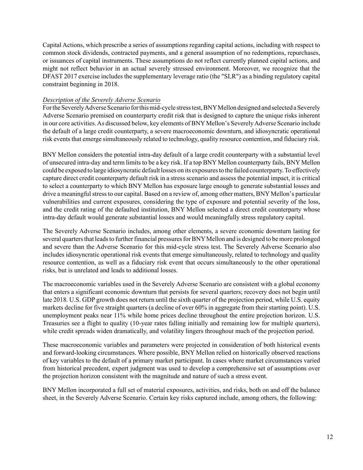Capital Actions, which prescribe a series of assumptions regarding capital actions, including with respect to common stock dividends, contracted payments, and a general assumption of no redemptions, repurchases, or issuances of capital instruments. These assumptions do not reflect currently planned capital actions, and might not reflect behavior in an actual severely stressed environment. Moreover, we recognize that the DFAST 2017 exercise includes the supplementary leverage ratio (the "SLR") as a binding regulatory capital constraint beginning in 2018.

# *Description of the Severely Adverse Scenario*

For the Severely Adverse Scenario for this mid-cycle stress test, BNY Mellon designed and selected a Severely Adverse Scenario premised on counterparty credit risk that is designed to capture the unique risks inherent in our core activities. As discussed below, key elements of BNY Mellon's Severely Adverse Scenario include the default of a large credit counterparty, a severe macroeconomic downturn, and idiosyncratic operational risk events that emerge simultaneously related to technology, quality resource contention, and fiduciary risk.

BNY Mellon considers the potential intra-day default of a large credit counterparty with a substantial level of unsecured intra-day and term limits to be a key risk. If a top BNY Mellon counterparty fails, BNY Mellon could be exposed to large idiosyncratic default losses on its exposures to the failed counterparty. To effectively capture direct credit counterparty default risk in a stress scenario and assess the potential impact, it is critical to select a counterparty to which BNY Mellon has exposure large enough to generate substantial losses and drive a meaningful stress to our capital. Based on a review of, among other matters, BNY Mellon's particular vulnerabilities and current exposures, considering the type of exposure and potential severity of the loss, and the credit rating of the defaulted institution, BNY Mellon selected a direct credit counterparty whose intra-day default would generate substantial losses and would meaningfully stress regulatory capital.

The Severely Adverse Scenario includes, among other elements, a severe economic downturn lasting for several quarters that leads to further financial pressures for BNY Mellon and is designed to be more prolonged and severe than the Adverse Scenario for this mid-cycle stress test. The Severely Adverse Scenario also includes idiosyncratic operational risk events that emerge simultaneously, related to technology and quality resource contention, as well as a fiduciary risk event that occurs simultaneously to the other operational risks, but is unrelated and leads to additional losses.

The macroeconomic variables used in the Severely Adverse Scenario are consistent with a global economy that enters a significant economic downturn that persists for several quarters; recovery does not begin until late 2018. U.S. GDP growth does not return until the sixth quarter of the projection period, while U.S. equity markets decline for five straight quarters (a decline of over 60% in aggregate from their starting point). U.S. unemployment peaks near 11% while home prices decline throughout the entire projection horizon. U.S. Treasuries see a flight to quality (10-year rates falling initially and remaining low for multiple quarters), while credit spreads widen dramatically, and volatility lingers throughout much of the projection period.

These macroeconomic variables and parameters were projected in consideration of both historical events and forward-looking circumstances. Where possible, BNY Mellon relied on historically observed reactions of key variables to the default of a primary market participant. In cases where market circumstances varied from historical precedent, expert judgment was used to develop a comprehensive set of assumptions over the projection horizon consistent with the magnitude and nature of such a stress event.

BNY Mellon incorporated a full set of material exposures, activities, and risks, both on and off the balance sheet, in the Severely Adverse Scenario. Certain key risks captured include, among others, the following: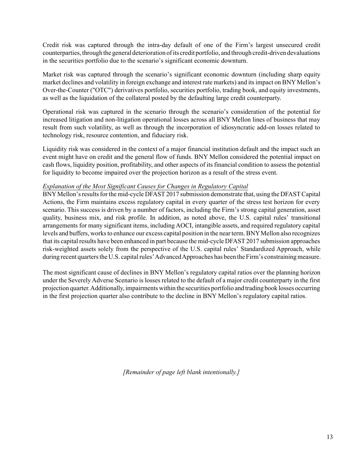Credit risk was captured through the intra-day default of one of the Firm's largest unsecured credit counterparties, through the general deterioration of its credit portfolio, and through credit-driven devaluations in the securities portfolio due to the scenario's significant economic downturn.

Market risk was captured through the scenario's significant economic downturn (including sharp equity market declines and volatility in foreign exchange and interest rate markets) and its impact on BNY Mellon's Over-the-Counter ("OTC") derivatives portfolio, securities portfolio, trading book, and equity investments, as well as the liquidation of the collateral posted by the defaulting large credit counterparty.

Operational risk was captured in the scenario through the scenario's consideration of the potential for increased litigation and non-litigation operational losses across all BNY Mellon lines of business that may result from such volatility, as well as through the incorporation of idiosyncratic add-on losses related to technology risk, resource contention, and fiduciary risk.

Liquidity risk was considered in the context of a major financial institution default and the impact such an event might have on credit and the general flow of funds. BNY Mellon considered the potential impact on cash flows, liquidity position, profitability, and other aspects of its financial condition to assess the potential for liquidity to become impaired over the projection horizon as a result of the stress event.

# *Explanation of the Most Significant Causes for Changes in Regulatory Capital*

BNY Mellon's results for the mid-cycle DFAST 2017 submission demonstrate that, using the DFAST Capital Actions, the Firm maintains excess regulatory capital in every quarter of the stress test horizon for every scenario. This success is driven by a number of factors, including the Firm's strong capital generation, asset quality, business mix, and risk profile. In addition, as noted above, the U.S. capital rules' transitional arrangements for many significant items, including AOCI, intangible assets, and required regulatory capital levels and buffers, works to enhance our excess capital position in the near term. BNY Mellon also recognizes that its capital results have been enhanced in part because the mid-cycle DFAST 2017 submission approaches risk-weighted assets solely from the perspective of the U.S. capital rules' Standardized Approach, while during recent quarters the U.S. capital rules' Advanced Approaches has been the Firm's constraining measure.

The most significant cause of declines in BNY Mellon's regulatory capital ratios over the planning horizon under the Severely Adverse Scenario is losses related to the default of a major credit counterparty in the first projection quarter. Additionally, impairments within the securities portfolio and trading book losses occurring in the first projection quarter also contribute to the decline in BNY Mellon's regulatory capital ratios.

*[Remainder of page left blank intentionally.]*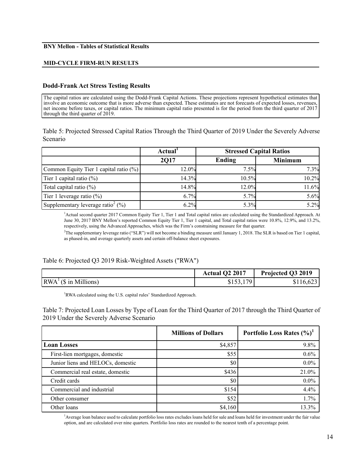### **BNY Mellon - Tables of Statistical Results**

#### **MID-CYCLE FIRM-RUN RESULTS**

#### **Dodd-Frank Act Stress Testing Results**

The capital ratios are calculated using the Dodd-Frank Capital Actions. These projections represent hypothetical estimates that involve an economic outcome that is more adverse than expected. These estimates are not forecasts of expected losses, revenues, net income before taxes, or capital ratios. The minimum capital ratio presented is for the period from the third quarter of  $2017$ through the third quarter of 2019.

Table 5: Projected Stressed Capital Ratios Through the Third Quarter of 2019 Under the Severely Adverse Scenario

|                                                   | Actual <sup>1</sup> | <b>Stressed Capital Ratios</b> |                |
|---------------------------------------------------|---------------------|--------------------------------|----------------|
|                                                   | <b>2017</b>         | Ending                         | <b>Minimum</b> |
| Common Equity Tier 1 capital ratio (%)            | 12.0%               | 7.5%                           | 7.3%           |
| Tier 1 capital ratio $(\%)$                       | 14.3%               | 10.5%                          | 10.2%          |
| Total capital ratio (%)                           | 14.8%               | 12.0%                          | 11.6%          |
| Tier 1 leverage ratio $(\%)$                      | 6.7%                | 5.7%                           | 5.6%           |
| Supplementary leverage ratio <sup>2</sup> $(\% )$ | 6.2%                | 5.3%                           | 5.2%           |

1 Actual second quarter 2017 Common Equity Tier 1, Tier 1 and Total capital ratios are calculated using the Standardized Approach. At June 30, 2017 BNY Mellon's reported Common Equity Tier 1, Tier 1 capital, and Total capital ratios were 10.8%, 12.9%, and 13.2%, respectively, using the Advanced Approaches, which was the Firm's constraining measure for that quarter.

2 The supplementary leverage ratio ("SLR") will not become a binding measure until January 1, 2018. The SLR is based on Tier 1 capital, as phased-in, and average quarterly assets and certain off-balance sheet exposures.

#### Table 6: Projected Q3 2019 Risk-Weighted Assets ("RWA")

|                                                   | <b>Actual Q2 2017</b>      | Projected Q3 2019 |
|---------------------------------------------------|----------------------------|-------------------|
| $\vert RWA^{\perp}(\$ \text{ in Millions}) \vert$ | 170<br>$\sim$ 4<br>0133,11 | \$116,623         |

<sup>1</sup>RWA calculated using the U.S. capital rules' Standardized Approach.

Table 7: Projected Loan Losses by Type of Loan for the Third Quarter of 2017 through the Third Quarter of 2019 Under the Severely Adverse Scenario

|                                   | <b>Millions of Dollars</b> | Portfolio Loss Rates $(\%)^1$ |
|-----------------------------------|----------------------------|-------------------------------|
| <b>Loan Losses</b>                | \$4,857                    | 9.8%                          |
| First-lien mortgages, domestic    | \$55                       | 0.6%                          |
| Junior liens and HELOCs, domestic | \$0                        | $0.0\%$                       |
| Commercial real estate, domestic  | \$436                      | 21.0%                         |
| Credit cards                      | \$0                        | $0.0\%$                       |
| Commercial and industrial         | \$154                      | 4.4%                          |
| Other consumer                    | \$52                       | 1.7%                          |
| Other loans                       | \$4,160                    | 13.3%                         |

1 Average loan balance used to calculate portfolio loss rates excludes loans held for sale and loans held for investment under the fair value option, and are calculated over nine quarters. Portfolio loss rates are rounded to the nearest tenth of a percentage point.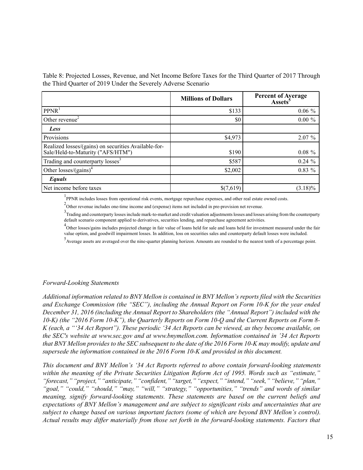Table 8: Projected Losses, Revenue, and Net Income Before Taxes for the Third Quarter of 2017 Through the Third Quarter of 2019 Under the Severely Adverse Scenario

|                                                                                           | <b>Millions of Dollars</b> | <b>Percent of Average</b><br><b>Assets</b> <sup>3</sup> |
|-------------------------------------------------------------------------------------------|----------------------------|---------------------------------------------------------|
| PPNR <sup>1</sup>                                                                         | \$133                      | $0.06 \%$                                               |
| Other revenue <sup>2</sup>                                                                | \$0                        | $0.00 \%$                                               |
| Less                                                                                      |                            |                                                         |
| Provisions                                                                                | \$4,973                    | $2.07\%$                                                |
| Realized losses/(gains) on securities Available-for-<br>Sale/Held-to-Maturity ("AFS/HTM") | \$190                      | $0.08 \%$                                               |
| Trading and counterparty losses <sup>3</sup>                                              | \$587                      | $0.24 \%$                                               |
| Other losses/(gains) <sup>4</sup>                                                         | \$2,002                    | $0.83\%$                                                |
| Equals                                                                                    |                            |                                                         |
| Net income before taxes                                                                   | \$(7,619)                  | $(3.18)\%$                                              |

<sup>1</sup>PPNR includes losses from operational risk events, mortgage repurchase expenses, and other real estate owned costs.

 $2$ Other revenue includes one-time income and (expense) items not included in pre-provision net revenue.

<sup>3</sup>Trading and counterparty losses include mark-to-market and credit valuation adjustments losses and losses arising from the counterparty default scenario component applied to derivatives, securities lending, and repurchase agreement activities.

<sup>4</sup>Other losses/gains includes projected change in fair value of loans held for sale and loans held for investment measured under the fair value option, and goodwill impairment losses. In addition, loss on securities sales and counterparty default losses were included.

<sup>5</sup> Average assets are averaged over the nine-quarter planning horizon. Amounts are rounded to the nearest tenth of a percentage point.

#### *Forward-Looking Statements*

*Additional information related to BNY Mellon is contained in BNY Mellon's reports filed with the Securities and Exchange Commission (the "SEC"), including the Annual Report on Form 10-K for the year ended December 31, 2016 (including the Annual Report to Shareholders (the "Annual Report") included with the 10-K) (the "2016 Form 10-K"), the Quarterly Reports on Form 10-Q and the Current Reports on Form 8- K (each, a "'34 Act Report"). These periodic '34 Act Reports can be viewed, as they become available, on the SEC's website at <www.sec.gov> and at [www.bnymellon.com.](www.bnymellon.com) Information contained in '34 Act Reports that BNY Mellon provides to the SEC subsequent to the date of the 2016 Form 10-K may modify, update and supersede the information contained in the 2016 Form 10-K and provided in this document.* 

*This document and BNY Mellon's '34 Act Reports referred to above contain forward-looking statements within the meaning of the Private Securities Litigation Reform Act of 1995. Words such as "estimate," "forecast," "project," "anticipate," "confident," "target," "expect," "intend," "seek," "believe," "plan," "goal," "could," "should," "may," "will," "strategy," "opportunities," "trends" and words of similar meaning, signify forward-looking statements. These statements are based on the current beliefs and expectations of BNY Mellon's management and are subject to significant risks and uncertainties that are subject to change based on various important factors (some of which are beyond BNY Mellon's control). Actual results may differ materially from those set forth in the forward-looking statements. Factors that*